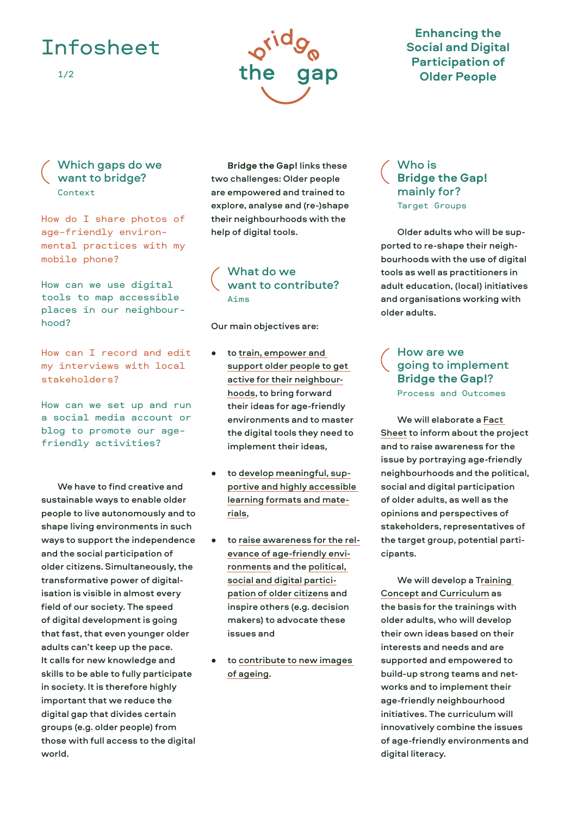## Infosheet





### **Enhancing the Social and Digital Participation of Older People**

#### Which gaps do we want to bridge? Context

How do I share photos of age-friendly environmental practices with my mobile phone?

How can we use digital tools to map accessible places in our neighbourhood?

How can I record and edit my interviews with local stakeholders?

How can we set up and run a social media account or blog to promote our agefriendly activities?

We have to find creative and sustainable ways to enable older people to live autonomously and to shape living environments in such ways to support the independence and the social participation of older citizens. Simultaneously, the transformative power of digitalisation is visible in almost every field of our society. The speed of digital development is going that fast, that even younger older adults can't keep up the pace. It calls for new knowledge and skills to be able to fully participate in society. It is therefore highly important that we reduce the digital gap that divides certain groups (e.g. older people) from those with full access to the digital world.

**Bridge the Gap!** links these two challenges: Older people are empowered and trained to explore, analyse and (re-)shape their neighbourhoods with the help of digital tools.

#### What do we want to contribute? Aims

Our main objectives are:

- to train, empower and support older people to get active for their neighbourhoods, to bring forward their ideas for age-friendly environments and to master the digital tools they need to implement their ideas,
- to develop meaningful, supportive and highly accessible learning formats and materials,
- to raise awareness for the relevance of age-friendly environments and the political, social and digital participation of older citizens and inspire others (e.g. decision makers) to advocate these issues and
- to contribute to new images of ageing.

#### Who is **Bridge the Gap!** mainly for? Target Groups

Older adults who will be supported to re-shape their neighbourhoods with the use of digital tools as well as practitioners in adult education, (local) initiatives and organisations working with older adults.

#### How are we going to implement **Bridge the Gap!**? Process and Outcomes

We will elaborate a Fact Sheet to inform about the project and to raise awareness for the issue by portraying age-friendly neighbourhoods and the political, social and digital participation of older adults, as well as the opinions and perspectives of stakeholders, representatives of the target group, potential participants.

We will develop a Training Concept and Curriculum as the basis for the trainings with older adults, who will develop their own ideas based on their interests and needs and are supported and empowered to build-up strong teams and networks and to implement their age-friendly neighbourhood initiatives. The curriculum will innovatively combine the issues of age-friendly environments and digital literacy.